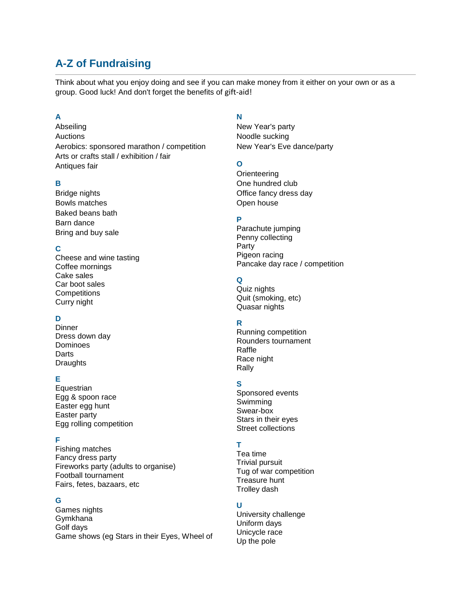# **A-Z of Fundraising**

Think about what you enjoy doing and see if you can make money from it either on your own or as a group. Good luck! And don't forget the benefits of [gift-aid!](http://www.jameswhalefund.org/Donate.html)

### **A**

Abseiling Auctions Aerobics: sponsored marathon / competition Arts or crafts stall / exhibition / fair Antiques fair

### **B**

Bridge nights Bowls matches Baked beans bath Barn dance Bring and buy sale

### **C**

Cheese and wine tasting Coffee mornings Cake sales Car boot sales **Competitions** Curry night

## **D**

**Dinner** Dress down day Dominoes **Darts Draughts** 

### **E**

**Equestrian** Egg & spoon race Easter egg hunt Easter party Egg rolling competition

### **F**

Fishing matches Fancy dress party Fireworks party (adults to organise) Football tournament Fairs, fetes, bazaars, etc

### **G**

Games nights Gymkhana Golf days Game shows (eg Stars in their Eyes, Wheel of

#### **N**

New Year's party Noodle sucking New Year's Eve dance/party

### **O**

**Orienteering** One hundred club Office fancy dress day Open house

### **P**

Parachute jumping Penny collecting Party Pigeon racing Pancake day race / competition

### **Q**

Quiz nights Quit (smoking, etc) Quasar nights

### **R**

Running competition Rounders tournament Raffle Race night Rally

### **S**

Sponsored events Swimming Swear-box Stars in their eyes Street collections

# **T**

Tea time Trivial pursuit Tug of war competition Treasure hunt Trolley dash

### **U**

University challenge Uniform days Unicycle race Up the pole